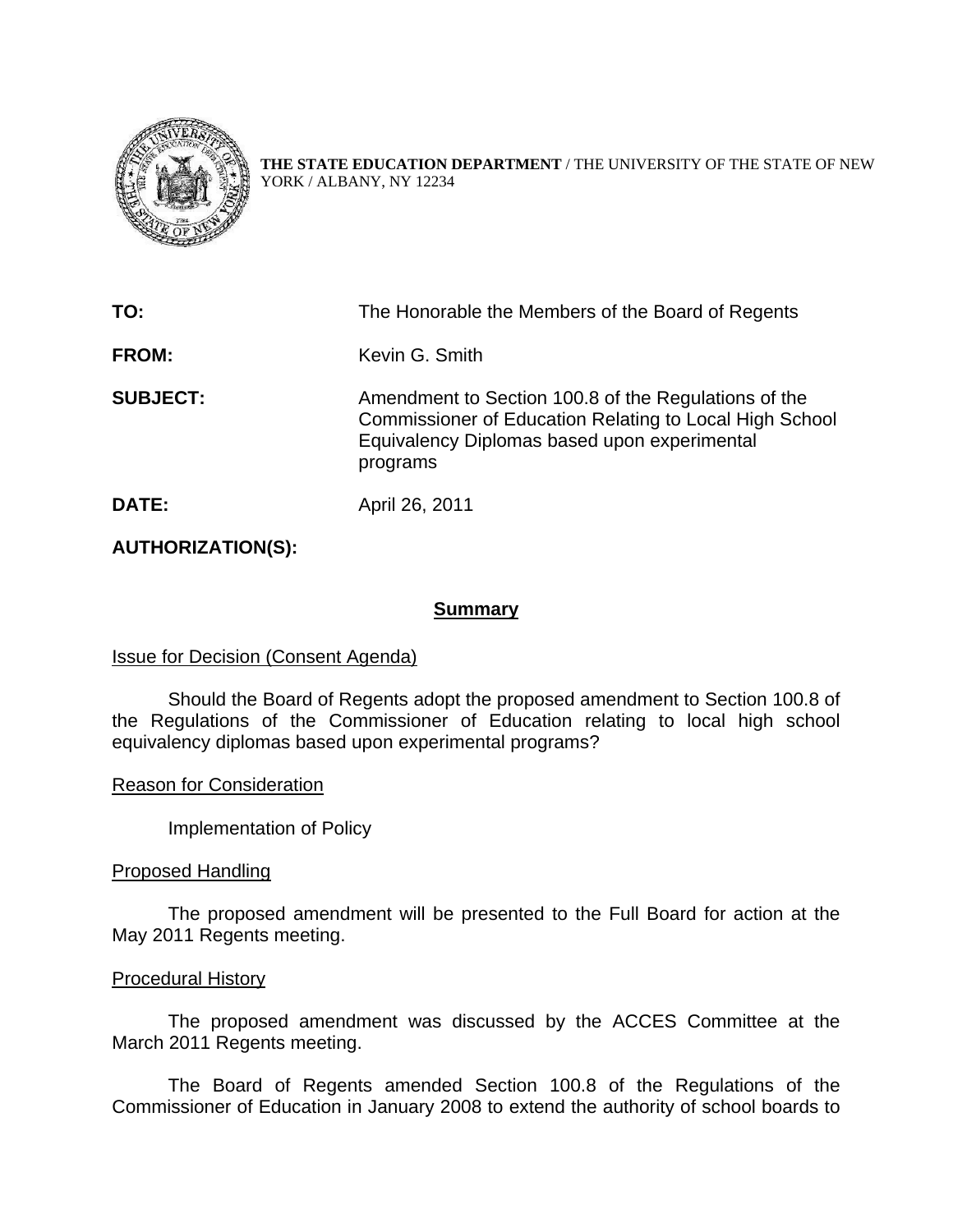

**THE STATE EDUCATION DEPARTMENT** / THE UNIVERSITY OF THE STATE OF NEW YORK / ALBANY, NY 12234

| TO:             | The Honorable the Members of the Board of Regents                                                                                                                           |
|-----------------|-----------------------------------------------------------------------------------------------------------------------------------------------------------------------------|
| <b>FROM:</b>    | Kevin G. Smith                                                                                                                                                              |
| <b>SUBJECT:</b> | Amendment to Section 100.8 of the Regulations of the<br>Commissioner of Education Relating to Local High School<br>Equivalency Diplomas based upon experimental<br>programs |
| DATE:           | April 26, 2011                                                                                                                                                              |

# **AUTHORIZATION(S):**

### **Summary**

## **Issue for Decision (Consent Agenda)**

 Should the Board of Regents adopt the proposed amendment to Section 100.8 of the Regulations of the Commissioner of Education relating to local high school equivalency diplomas based upon experimental programs?

Reason for Consideration

Implementation of Policy

### Proposed Handling

The proposed amendment will be presented to the Full Board for action at the May 2011 Regents meeting.

### Procedural History

 The proposed amendment was discussed by the ACCES Committee at the March 2011 Regents meeting.

 The Board of Regents amended Section 100.8 of the Regulations of the Commissioner of Education in January 2008 to extend the authority of school boards to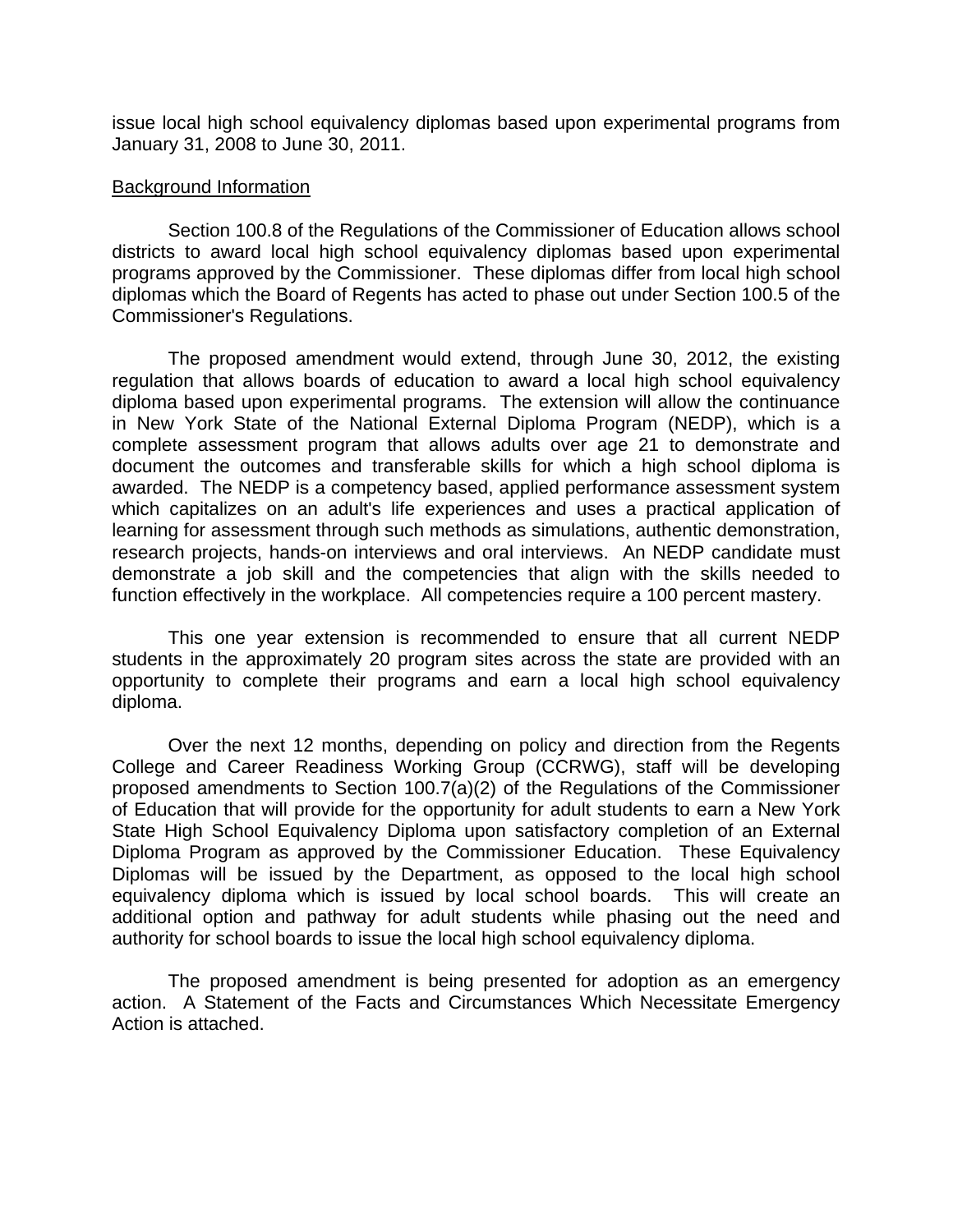issue local high school equivalency diplomas based upon experimental programs from January 31, 2008 to June 30, 2011.

### Background Information

Section 100.8 of the Regulations of the Commissioner of Education allows school districts to award local high school equivalency diplomas based upon experimental programs approved by the Commissioner. These diplomas differ from local high school diplomas which the Board of Regents has acted to phase out under Section 100.5 of the Commissioner's Regulations.

The proposed amendment would extend, through June 30, 2012, the existing regulation that allows boards of education to award a local high school equivalency diploma based upon experimental programs. The extension will allow the continuance in New York State of the National External Diploma Program (NEDP), which is a complete assessment program that allows adults over age 21 to demonstrate and document the outcomes and transferable skills for which a high school diploma is awarded. The NEDP is a competency based, applied performance assessment system which capitalizes on an adult's life experiences and uses a practical application of learning for assessment through such methods as simulations, authentic demonstration, research projects, hands-on interviews and oral interviews. An NEDP candidate must demonstrate a job skill and the competencies that align with the skills needed to function effectively in the workplace. All competencies require a 100 percent mastery.

This one year extension is recommended to ensure that all current NEDP students in the approximately 20 program sites across the state are provided with an opportunity to complete their programs and earn a local high school equivalency diploma.

Over the next 12 months, depending on policy and direction from the Regents College and Career Readiness Working Group (CCRWG), staff will be developing proposed amendments to Section 100.7(a)(2) of the Regulations of the Commissioner of Education that will provide for the opportunity for adult students to earn a New York State High School Equivalency Diploma upon satisfactory completion of an External Diploma Program as approved by the Commissioner Education. These Equivalency Diplomas will be issued by the Department, as opposed to the local high school equivalency diploma which is issued by local school boards. This will create an additional option and pathway for adult students while phasing out the need and authority for school boards to issue the local high school equivalency diploma.

The proposed amendment is being presented for adoption as an emergency action. A Statement of the Facts and Circumstances Which Necessitate Emergency Action is attached.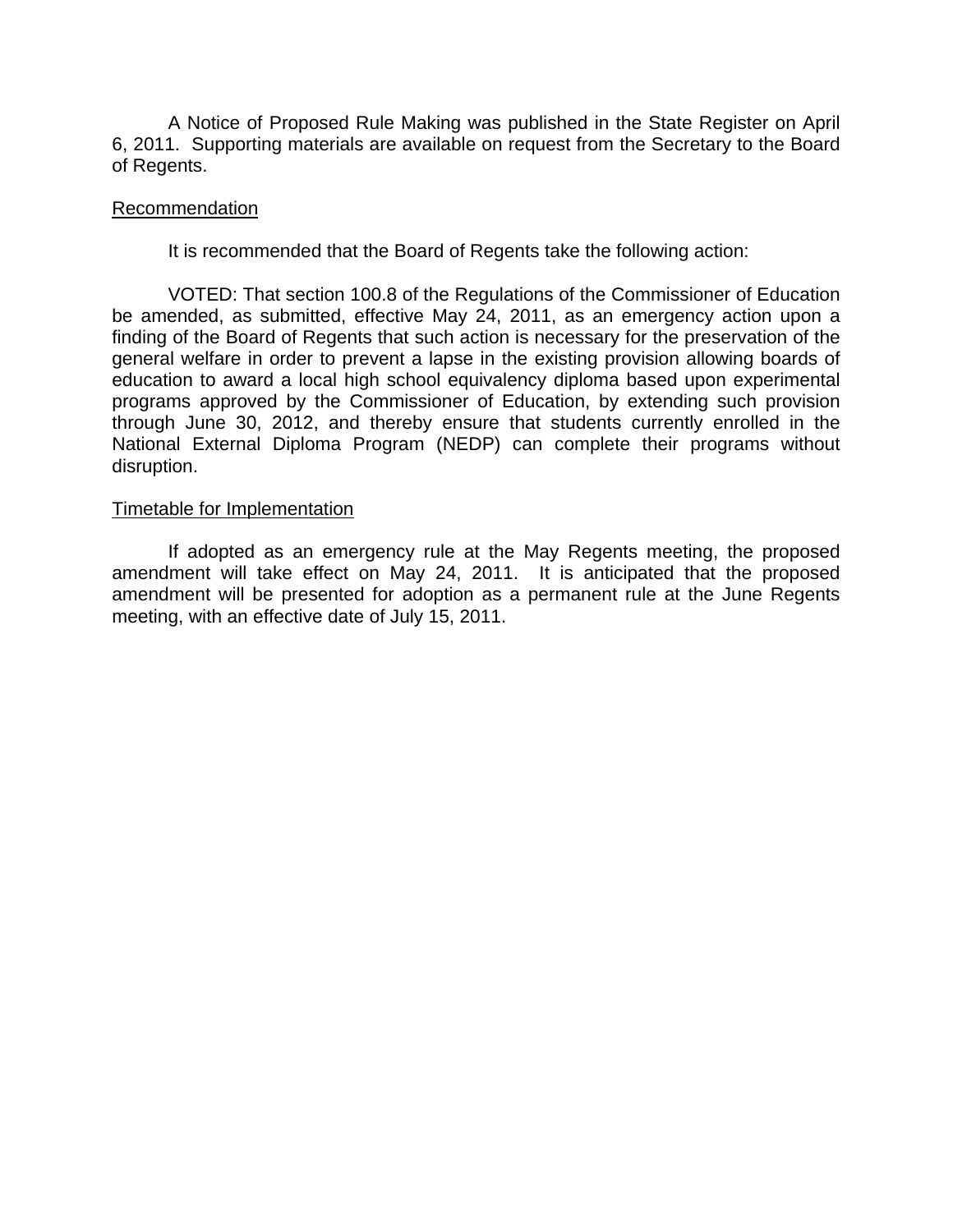A Notice of Proposed Rule Making was published in the State Register on April 6, 2011. Supporting materials are available on request from the Secretary to the Board of Regents.

#### Recommendation

It is recommended that the Board of Regents take the following action:

VOTED: That section 100.8 of the Regulations of the Commissioner of Education be amended, as submitted, effective May 24, 2011, as an emergency action upon a finding of the Board of Regents that such action is necessary for the preservation of the general welfare in order to prevent a lapse in the existing provision allowing boards of education to award a local high school equivalency diploma based upon experimental programs approved by the Commissioner of Education, by extending such provision through June 30, 2012, and thereby ensure that students currently enrolled in the National External Diploma Program (NEDP) can complete their programs without disruption.

#### Timetable for Implementation

If adopted as an emergency rule at the May Regents meeting, the proposed amendment will take effect on May 24, 2011. It is anticipated that the proposed amendment will be presented for adoption as a permanent rule at the June Regents meeting, with an effective date of July 15, 2011.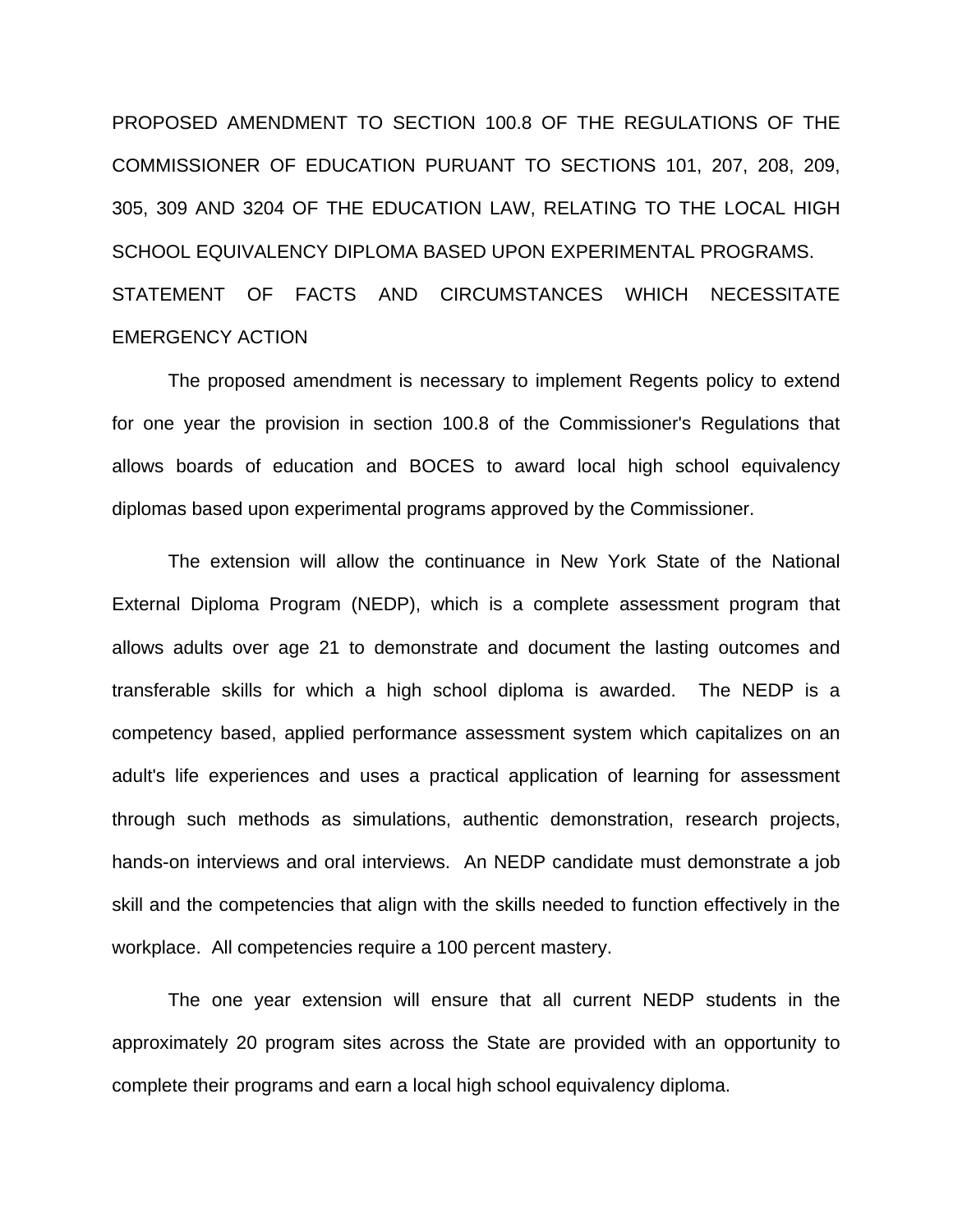PROPOSED AMENDMENT TO SECTION 100.8 OF THE REGULATIONS OF THE COMMISSIONER OF EDUCATION PURUANT TO SECTIONS 101, 207, 208, 209, 305, 309 AND 3204 OF THE EDUCATION LAW, RELATING TO THE LOCAL HIGH SCHOOL EQUIVALENCY DIPLOMA BASED UPON EXPERIMENTAL PROGRAMS. STATEMENT OF FACTS AND CIRCUMSTANCES WHICH NECESSITATE EMERGENCY ACTION

The proposed amendment is necessary to implement Regents policy to extend for one year the provision in section 100.8 of the Commissioner's Regulations that allows boards of education and BOCES to award local high school equivalency diplomas based upon experimental programs approved by the Commissioner.

The extension will allow the continuance in New York State of the National External Diploma Program (NEDP), which is a complete assessment program that allows adults over age 21 to demonstrate and document the lasting outcomes and transferable skills for which a high school diploma is awarded. The NEDP is a competency based, applied performance assessment system which capitalizes on an adult's life experiences and uses a practical application of learning for assessment through such methods as simulations, authentic demonstration, research projects, hands-on interviews and oral interviews. An NEDP candidate must demonstrate a job skill and the competencies that align with the skills needed to function effectively in the workplace. All competencies require a 100 percent mastery.

 The one year extension will ensure that all current NEDP students in the approximately 20 program sites across the State are provided with an opportunity to complete their programs and earn a local high school equivalency diploma.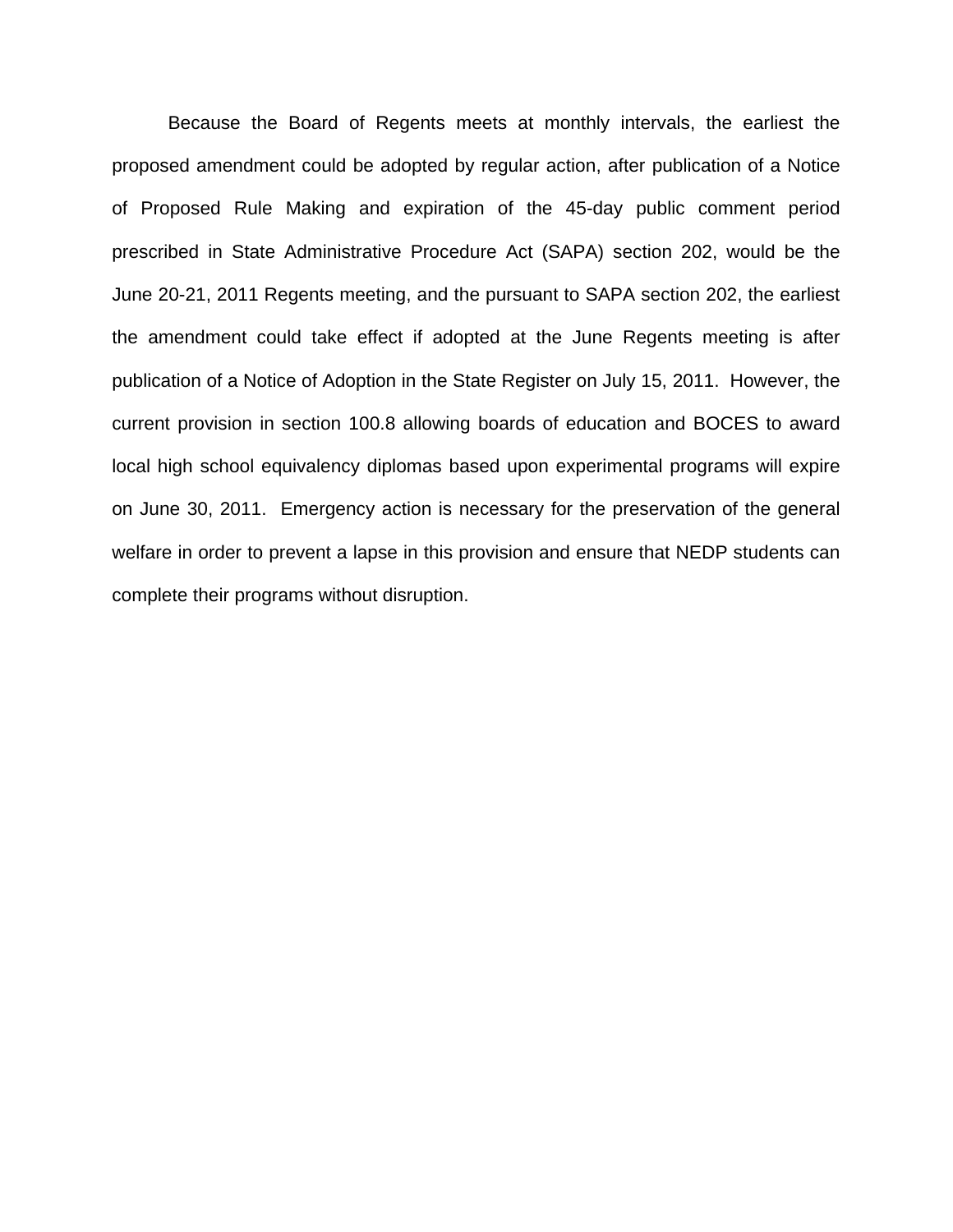Because the Board of Regents meets at monthly intervals, the earliest the proposed amendment could be adopted by regular action, after publication of a Notice of Proposed Rule Making and expiration of the 45-day public comment period prescribed in State Administrative Procedure Act (SAPA) section 202, would be the June 20-21, 2011 Regents meeting, and the pursuant to SAPA section 202, the earliest the amendment could take effect if adopted at the June Regents meeting is after publication of a Notice of Adoption in the State Register on July 15, 2011. However, the current provision in section 100.8 allowing boards of education and BOCES to award local high school equivalency diplomas based upon experimental programs will expire on June 30, 2011. Emergency action is necessary for the preservation of the general welfare in order to prevent a lapse in this provision and ensure that NEDP students can complete their programs without disruption.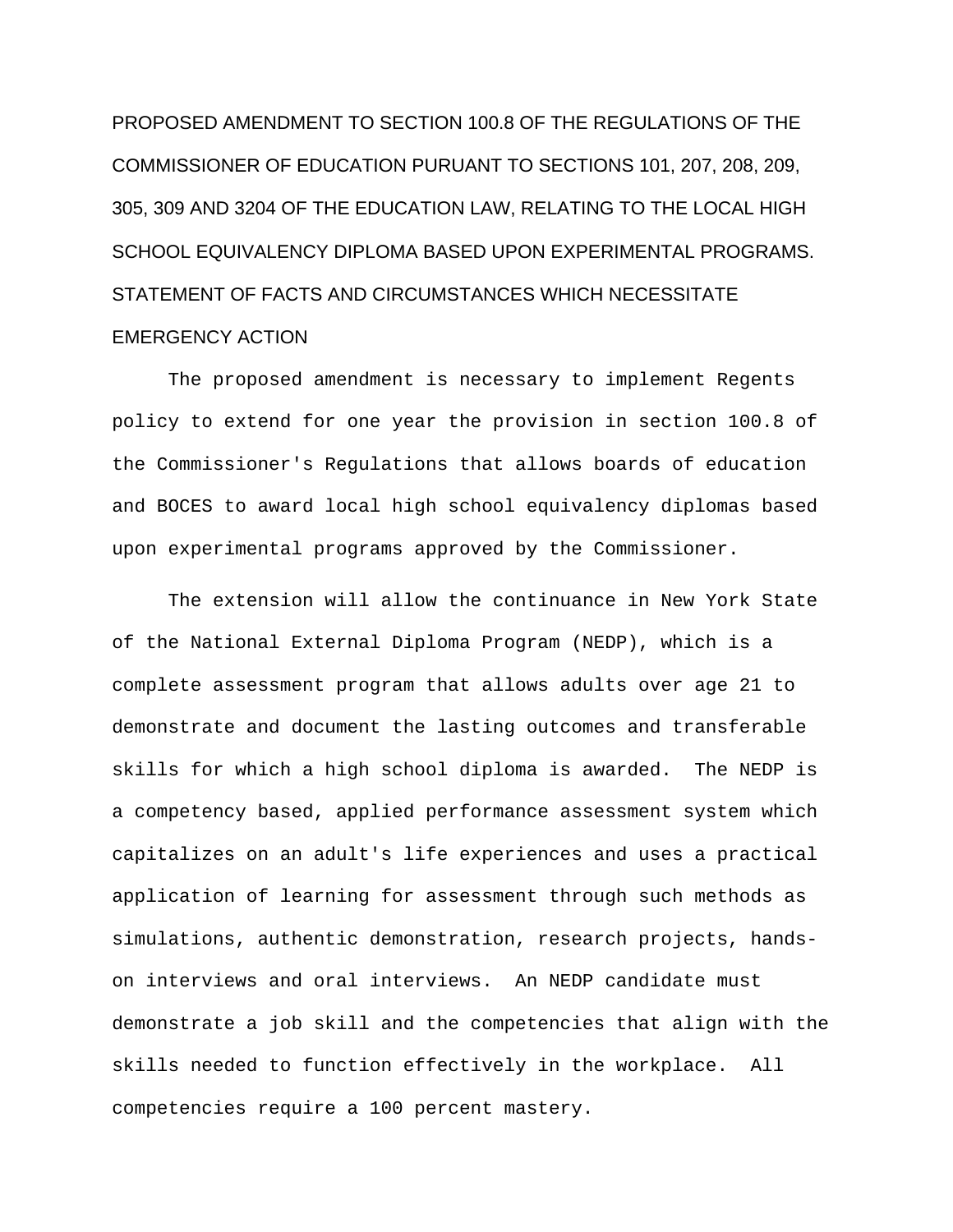PROPOSED AMENDMENT TO SECTION 100.8 OF THE REGULATIONS OF THE COMMISSIONER OF EDUCATION PURUANT TO SECTIONS 101, 207, 208, 209, 305, 309 AND 3204 OF THE EDUCATION LAW, RELATING TO THE LOCAL HIGH SCHOOL EQUIVALENCY DIPLOMA BASED UPON EXPERIMENTAL PROGRAMS. STATEMENT OF FACTS AND CIRCUMSTANCES WHICH NECESSITATE EMERGENCY ACTION

The proposed amendment is necessary to implement Regents policy to extend for one year the provision in section 100.8 of the Commissioner's Regulations that allows boards of education and BOCES to award local high school equivalency diplomas based upon experimental programs approved by the Commissioner.

The extension will allow the continuance in New York State of the National External Diploma Program (NEDP), which is a complete assessment program that allows adults over age 21 to demonstrate and document the lasting outcomes and transferable skills for which a high school diploma is awarded. The NEDP is a competency based, applied performance assessment system which capitalizes on an adult's life experiences and uses a practical application of learning for assessment through such methods as simulations, authentic demonstration, research projects, handson interviews and oral interviews. An NEDP candidate must demonstrate a job skill and the competencies that align with the skills needed to function effectively in the workplace. All competencies require a 100 percent mastery.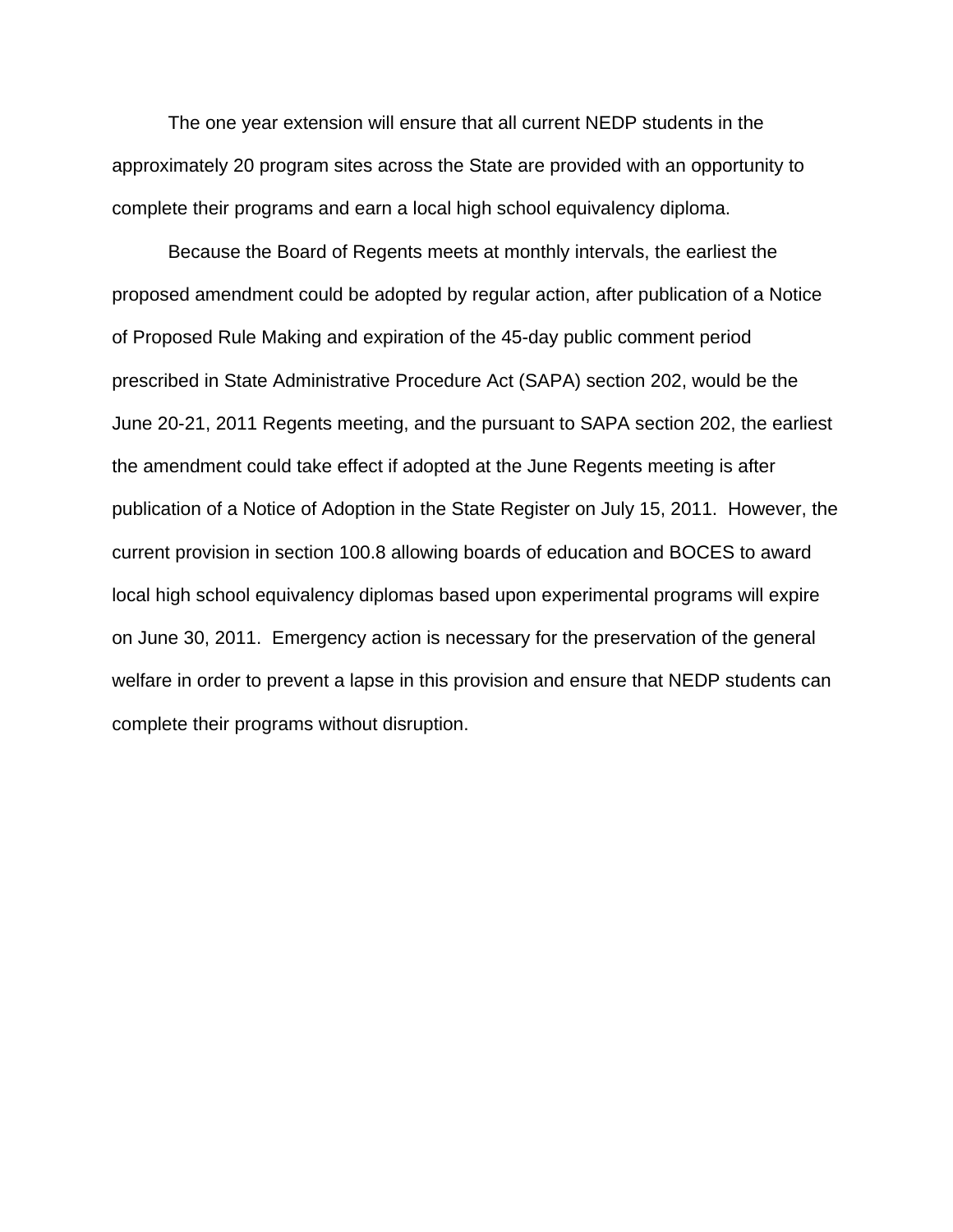The one year extension will ensure that all current NEDP students in the approximately 20 program sites across the State are provided with an opportunity to complete their programs and earn a local high school equivalency diploma.

 Because the Board of Regents meets at monthly intervals, the earliest the proposed amendment could be adopted by regular action, after publication of a Notice of Proposed Rule Making and expiration of the 45-day public comment period prescribed in State Administrative Procedure Act (SAPA) section 202, would be the June 20-21, 2011 Regents meeting, and the pursuant to SAPA section 202, the earliest the amendment could take effect if adopted at the June Regents meeting is after publication of a Notice of Adoption in the State Register on July 15, 2011. However, the current provision in section 100.8 allowing boards of education and BOCES to award local high school equivalency diplomas based upon experimental programs will expire on June 30, 2011. Emergency action is necessary for the preservation of the general welfare in order to prevent a lapse in this provision and ensure that NEDP students can complete their programs without disruption.